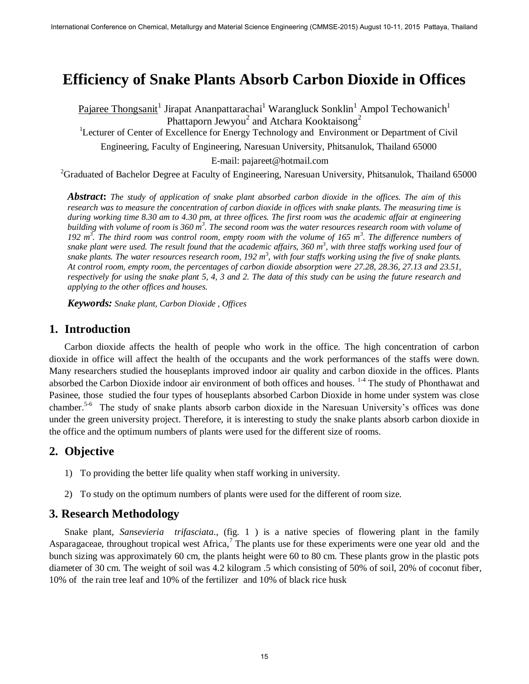# **Efficiency of Snake Plants Absorb Carbon Dioxide in Offices**

Pajaree Thongsanit<sup>1</sup> Jirapat Ananpattarachai<sup>1</sup> Warangluck Sonklin<sup>1</sup> Ampol Techowanich<sup>1</sup> Phattaporn Jewyou<sup>2</sup> and Atchara Kooktaisong<sup>2</sup> <sup>1</sup>Lecturer of Center of Excellence for Energy Technology and Environment or Department of Civil

Engineering, Faculty of Engineering, Naresuan University, Phitsanulok, Thailand 65000

E-mail: pajareet@hotmail.com

<sup>2</sup>Graduated of Bachelor Degree at Faculty of Engineering, Naresuan University, Phitsanulok, Thailand 65000

*Abstract***:** *The study of application of snake plant absorbed carbon dioxide in the offices. The aim of this research was to measure the concentration of carbon dioxide in offices with snake plants. The measuring time is during working time 8.30 am to 4.30 pm, at three offices. The first room was the academic affair at engineering*  building with volume of room is 360 m<sup>3</sup>. The second room was the water resources research room with volume of *192 m<sup>3</sup> . The third room was control room, empty room with the volume of 165 m<sup>3</sup> . The difference numbers of snake plant were used. The result found that the academic affairs, 360 m<sup>3</sup> , with three staffs working used four of*  snake plants. The water resources research room, 192 m<sup>3</sup>, with four staffs working using the five of snake plants. *At control room, empty room, the percentages of carbon dioxide absorption were 27.28, 28.36, 27.13 and 23.51, respectively for using the snake plant 5, 4, 3 and 2. The data of this study can be using the future research and applying to the other offices and houses.* 

*Keywords: Snake plant, Carbon Dioxide , Offices*

## **1. Introduction**

Carbon dioxide affects the health of people who work in the office. The high concentration of carbon dioxide in office will affect the health of the occupants and the work performances of the staffs were down. Many researchers studied the houseplants improved indoor air quality and carbon dioxide in the offices. Plants absorbed the Carbon Dioxide indoor air environment of both offices and houses. <sup>1-4</sup> The study of Phonthawat and Pasinee, those studied the four types of houseplants absorbed Carbon Dioxide in home under system was close chamber.<sup>5-6</sup> The study of snake plants absorb carbon dioxide in the Naresuan University's offices was done under the green university project. Therefore, it is interesting to study the snake plants absorb carbon dioxide in the office and the optimum numbers of plants were used for the different size of rooms.

## **2. Objective**

- 1) To providing the better life quality when staff working in university.
- 2) To study on the optimum numbers of plants were used for the different of room size.

## **3. Research Methodology**

Snake plant, *Sansevieria trifasciata*., (fig. 1) is a native species of flowering plant in the family Asparagaceae, throughout tropical west Africa,<sup>7</sup> The plants use for these experiments were one year old and the bunch sizing was approximately 60 cm, the plants height were 60 to 80 cm. These plants grow in the plastic pots diameter of 30 cm. The weight of soil was 4.2 kilogram .5 which consisting of 50% of soil, 20% of coconut fiber, 10% of the rain tree leaf and 10% of the fertilizer and 10% of black rice husk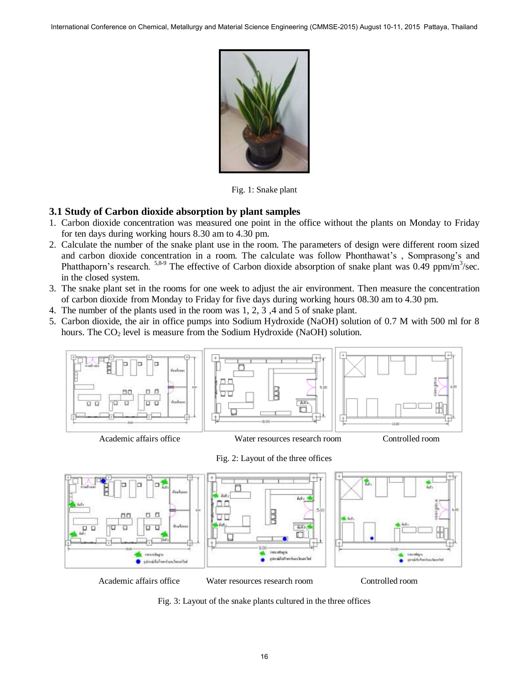

Fig. 1: Snake plant

#### **3.1 Study of Carbon dioxide absorption by plant samples**

- 1. Carbon dioxide concentration was measured one point in the office without the plants on Monday to Friday for ten days during working hours 8.30 am to 4.30 pm.
- 2. Calculate the number of the snake plant use in the room. The parameters of design were different room sized and carbon dioxide concentration in a room. The calculate was follow Phonthawat's , Somprasong's and Phatthaporn's research. <sup>5,8-9</sup> The effective of Carbon dioxide absorption of snake plant was 0.49 ppm/m<sup>3</sup>/sec. in the closed system.
- 3. The snake plant set in the rooms for one week to adjust the air environment. Then measure the concentration of carbon dioxide from Monday to Friday for five days during working hours 08.30 am to 4.30 pm.
- 4. The number of the plants used in the room was 1, 2, 3 ,4 and 5 of snake plant.
- 5. Carbon dioxide, the air in office pumps into Sodium Hydroxide (NaOH) solution of 0.7 M with 500 ml for 8 hours. The  $CO<sub>2</sub>$  level is measure from the Sodium Hydroxide (NaOH) solution.



Academic affairs office Water resources research room Controlled room

Fig. 2: Layout of the three offices



Academic affairs office Water resources research room Controlled room

Fig. 3: Layout of the snake plants cultured in the three offices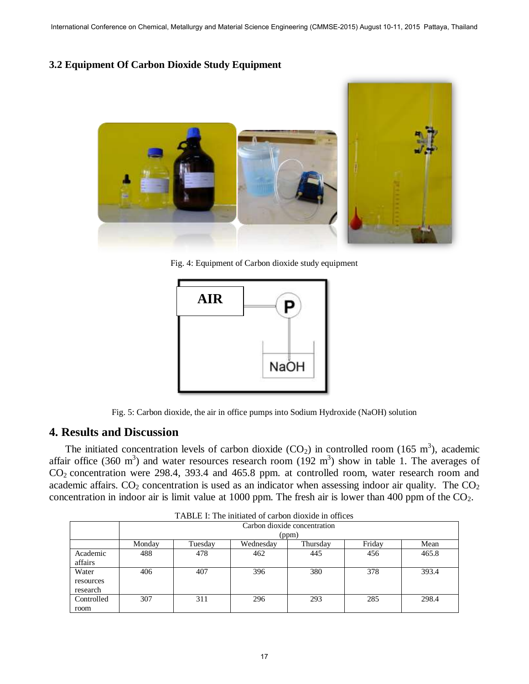#### **3.2 Equipment Of Carbon Dioxide Study Equipment**



Fig. 4: Equipment of Carbon dioxide study equipment



Fig. 5: Carbon dioxide, the air in office pumps into Sodium Hydroxide (NaOH) solution

## **4. Results and Discussion**

The initiated concentration levels of carbon dioxide  $(CO_2)$  in controlled room (165 m<sup>3</sup>), academic affair office (360 m<sup>3</sup>) and water resources research room (192 m<sup>3</sup>) show in table 1. The averages of CO2 concentration were 298.4, 393.4 and 465.8 ppm. at controlled room, water research room and academic affairs.  $CO_2$  concentration is used as an indicator when assessing indoor air quality. The  $CO_2$ concentration in indoor air is limit value at 1000 ppm. The fresh air is lower than 400 ppm of the  $CO<sub>2</sub>$ .

| TABLE I: The initiated of carbon dioxide in offices |                              |         |           |          |        |       |  |  |
|-----------------------------------------------------|------------------------------|---------|-----------|----------|--------|-------|--|--|
|                                                     | Carbon dioxide concentration |         |           |          |        |       |  |  |
|                                                     | (ppm)                        |         |           |          |        |       |  |  |
|                                                     | Monday                       | Tuesday | Wednesday | Thursday | Friday | Mean  |  |  |
| Academic<br>affairs                                 | 488                          | 478     | 462       | 445      | 456    | 465.8 |  |  |
| Water<br>resources<br>research                      | 406                          | 407     | 396       | 380      | 378    | 393.4 |  |  |
| Controlled<br>room                                  | 307                          | 311     | 296       | 293      | 285    | 298.4 |  |  |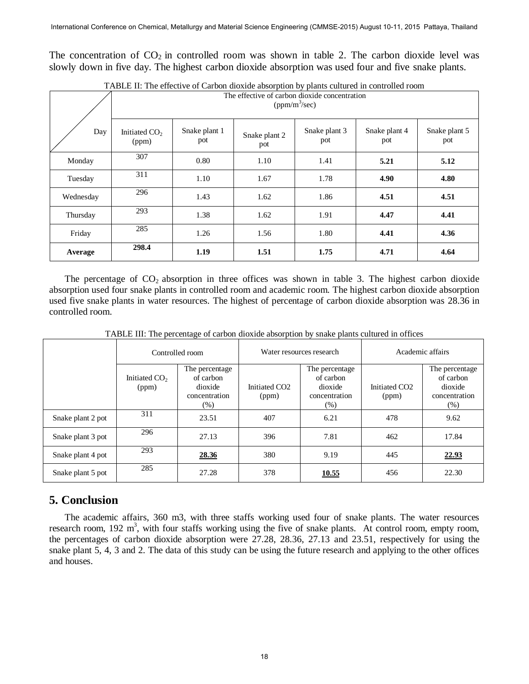The concentration of  $CO<sub>2</sub>$  in controlled room was shown in table 2. The carbon dioxide level was slowly down in five day. The highest carbon dioxide absorption was used four and five snake plants.

|           | TADLE II. THE CHECH TO CALOON GOARD AOSOFFHON BY FRANS CARDICA IN CONTONCATIONIN<br>The effective of carbon dioxide concentration<br>$(ppm/m^3/sec)$ |                      |                      |                      |                      |                      |  |
|-----------|------------------------------------------------------------------------------------------------------------------------------------------------------|----------------------|----------------------|----------------------|----------------------|----------------------|--|
| Day       | Initiated CO <sub>2</sub><br>(ppm)                                                                                                                   | Snake plant 1<br>pot | Snake plant 2<br>pot | Snake plant 3<br>pot | Snake plant 4<br>pot | Snake plant 5<br>pot |  |
| Monday    | 307                                                                                                                                                  | 0.80                 | 1.10                 | 1.41                 | 5.21                 | 5.12                 |  |
| Tuesday   | 311                                                                                                                                                  | 1.10                 | 1.67                 | 1.78                 | 4.90                 | 4.80                 |  |
| Wednesday | 296                                                                                                                                                  | 1.43                 | 1.62                 | 1.86                 | 4.51                 | 4.51                 |  |
| Thursday  | 293                                                                                                                                                  | 1.38                 | 1.62                 | 1.91                 | 4.47                 | 4.41                 |  |
| Friday    | 285                                                                                                                                                  | 1.26                 | 1.56                 | 1.80                 | 4.41                 | 4.36                 |  |
| Average   | 298.4                                                                                                                                                | 1.19                 | 1.51                 | 1.75                 | 4.71                 | 4.64                 |  |

TABLE II: The effective of Carbon dioxide absorption by plants cultured in controlled room

The percentage of  $CO_2$  absorption in three offices was shown in table 3. The highest carbon dioxide absorption used four snake plants in controlled room and academic room. The highest carbon dioxide absorption used five snake plants in water resources. The highest of percentage of carbon dioxide absorption was 28.36 in controlled room.

|                   | Controlled room          |                                                                   | Water resources research           |                                                                 | Academic affairs                   |                                                                   |
|-------------------|--------------------------|-------------------------------------------------------------------|------------------------------------|-----------------------------------------------------------------|------------------------------------|-------------------------------------------------------------------|
|                   | Initiated $CO2$<br>(ppm) | The percentage<br>of carbon<br>dioxide<br>concentration<br>$(\%)$ | Initiated CO <sub>2</sub><br>(ppm) | The percentage<br>of carbon<br>dioxide<br>concentration<br>(% ) | Initiated CO <sub>2</sub><br>(ppm) | The percentage<br>of carbon<br>dioxide<br>concentration<br>$(\%)$ |
| Snake plant 2 pot | 311                      | 23.51                                                             | 407                                | 6.21                                                            | 478                                | 9.62                                                              |
| Snake plant 3 pot | 296                      | 27.13                                                             | 396                                | 7.81                                                            | 462                                | 17.84                                                             |
| Snake plant 4 pot | 293                      | <u>28.36</u>                                                      | 380                                | 9.19                                                            | 445                                | <u>22.93</u>                                                      |
| Snake plant 5 pot | 285                      | 27.28                                                             | 378                                | <u>10.55</u>                                                    | 456                                | 22.30                                                             |

TABLE III: The percentage of carbon dioxide absorption by snake plants cultured in offices

## **5. Conclusion**

The academic affairs, 360 m3, with three staffs working used four of snake plants. The water resources research room,  $192 \text{ m}^3$ , with four staffs working using the five of snake plants. At control room, empty room, the percentages of carbon dioxide absorption were 27.28, 28.36, 27.13 and 23.51, respectively for using the snake plant 5, 4, 3 and 2. The data of this study can be using the future research and applying to the other offices and houses.